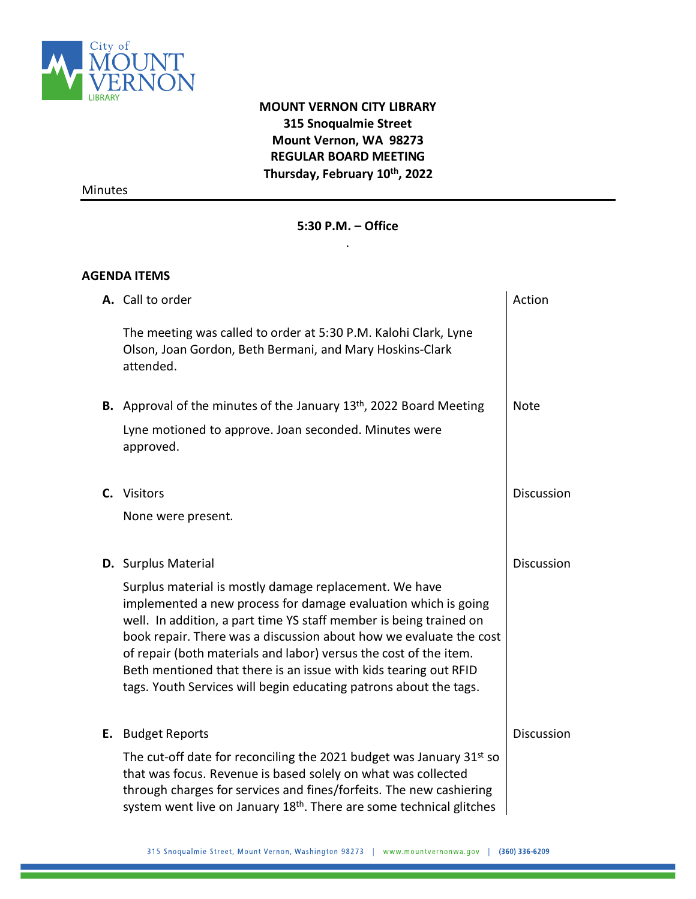

## **MOUNT VERNON CITY LIBRARY 315 Snoqualmie Street Mount Vernon, WA 98273 REGULAR BOARD MEETING Thursday, February 10 th, 2022**

Minutes

## **5:30 P.M. – Office**  .

## **AGENDA ITEMS**

| A. Call to order                                                                                                                                                                                                                                                                                                                                                                                                                                                                   | Action            |
|------------------------------------------------------------------------------------------------------------------------------------------------------------------------------------------------------------------------------------------------------------------------------------------------------------------------------------------------------------------------------------------------------------------------------------------------------------------------------------|-------------------|
| The meeting was called to order at 5:30 P.M. Kalohi Clark, Lyne<br>Olson, Joan Gordon, Beth Bermani, and Mary Hoskins-Clark<br>attended.                                                                                                                                                                                                                                                                                                                                           |                   |
| <b>B.</b> Approval of the minutes of the January $13th$ , 2022 Board Meeting                                                                                                                                                                                                                                                                                                                                                                                                       | <b>Note</b>       |
| Lyne motioned to approve. Joan seconded. Minutes were<br>approved.                                                                                                                                                                                                                                                                                                                                                                                                                 |                   |
| C. Visitors                                                                                                                                                                                                                                                                                                                                                                                                                                                                        | Discussion        |
| None were present.                                                                                                                                                                                                                                                                                                                                                                                                                                                                 |                   |
| <b>D.</b> Surplus Material                                                                                                                                                                                                                                                                                                                                                                                                                                                         | <b>Discussion</b> |
| Surplus material is mostly damage replacement. We have<br>implemented a new process for damage evaluation which is going<br>well. In addition, a part time YS staff member is being trained on<br>book repair. There was a discussion about how we evaluate the cost<br>of repair (both materials and labor) versus the cost of the item.<br>Beth mentioned that there is an issue with kids tearing out RFID<br>tags. Youth Services will begin educating patrons about the tags. |                   |
| E. Budget Reports                                                                                                                                                                                                                                                                                                                                                                                                                                                                  | <b>Discussion</b> |
| The cut-off date for reconciling the 2021 budget was January 31st so<br>that was focus. Revenue is based solely on what was collected<br>through charges for services and fines/forfeits. The new cashiering<br>system went live on January 18 <sup>th</sup> . There are some technical glitches                                                                                                                                                                                   |                   |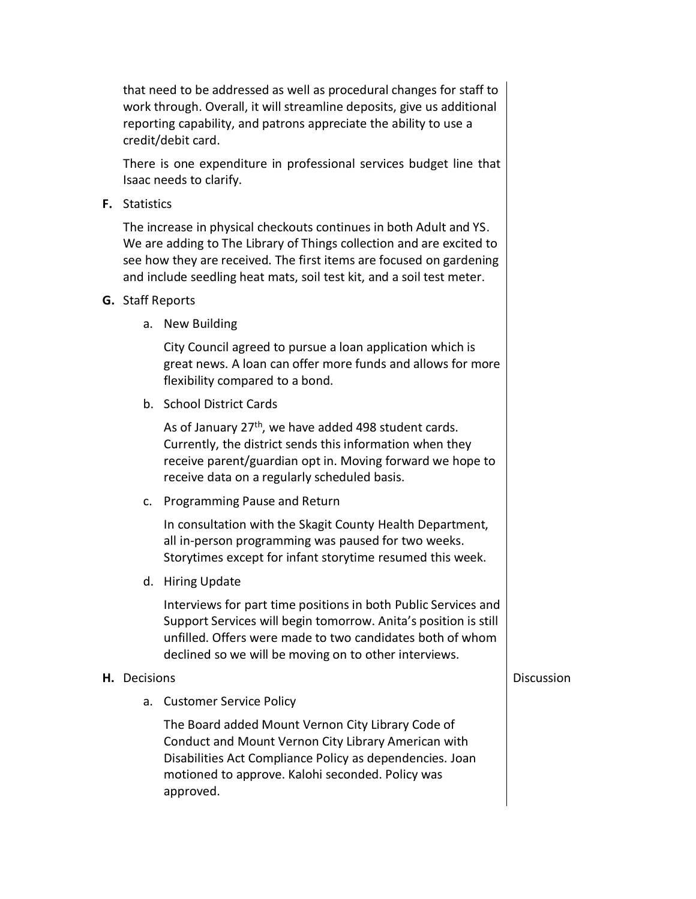that need to be addressed as well as procedural changes for staff to work through. Overall, it will streamline deposits, give us additional reporting capability, and patrons appreciate the ability to use a credit/debit card.

There is one expenditure in professional services budget line that Isaac needs to clarify.

**F.** Statistics

The increase in physical checkouts continues in both Adult and YS. We are adding to The Library of Things collection and are excited to see how they are received. The first items are focused on gardening and include seedling heat mats, soil test kit, and a soil test meter.

- **G.** Staff Reports
	- a. New Building

City Council agreed to pursue a loan application which is great news. A loan can offer more funds and allows for more flexibility compared to a bond.

b. School District Cards

As of January 27<sup>th</sup>, we have added 498 student cards. Currently, the district sends this information when they receive parent/guardian opt in. Moving forward we hope to receive data on a regularly scheduled basis.

c. Programming Pause and Return

In consultation with the Skagit County Health Department, all in-person programming was paused for two weeks. Storytimes except for infant storytime resumed this week.

d. Hiring Update

Interviews for part time positions in both Public Services and Support Services will begin tomorrow. Anita's position is still unfilled. Offers were made to two candidates both of whom declined so we will be moving on to other interviews.

## **H.** Decisions

a. Customer Service Policy

The Board added Mount Vernon City Library Code of Conduct and Mount Vernon City Library American with Disabilities Act Compliance Policy as dependencies. Joan motioned to approve. Kalohi seconded. Policy was approved.

**Discussion**